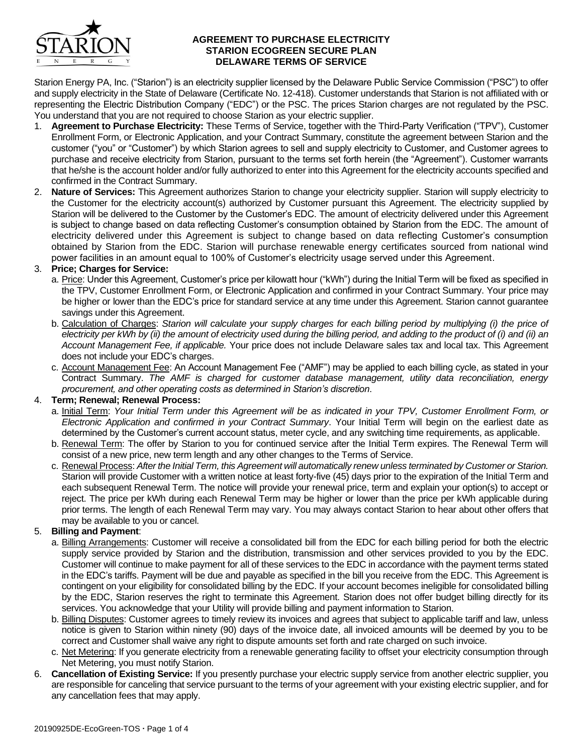

#### **AGREEMENT TO PURCHASE ELECTRICITY STARION ECOGREEN SECURE PLAN DELAWARE TERMS OF SERVICE**

Starion Energy PA, Inc. ("Starion") is an electricity supplier licensed by the Delaware Public Service Commission ("PSC") to offer and supply electricity in the State of Delaware (Certificate No. 12-418). Customer understands that Starion is not affiliated with or representing the Electric Distribution Company ("EDC") or the PSC. The prices Starion charges are not regulated by the PSC. You understand that you are not required to choose Starion as your electric supplier.

- 1. **Agreement to Purchase Electricity:** These Terms of Service, together with the Third-Party Verification ("TPV"), Customer Enrollment Form, or Electronic Application, and your Contract Summary, constitute the agreement between Starion and the customer ("you" or "Customer") by which Starion agrees to sell and supply electricity to Customer, and Customer agrees to purchase and receive electricity from Starion, pursuant to the terms set forth herein (the "Agreement"). Customer warrants that he/she is the account holder and/or fully authorized to enter into this Agreement for the electricity accounts specified and confirmed in the Contract Summary.
- 2. **Nature of Services:** This Agreement authorizes Starion to change your electricity supplier. Starion will supply electricity to the Customer for the electricity account(s) authorized by Customer pursuant this Agreement. The electricity supplied by Starion will be delivered to the Customer by the Customer's EDC. The amount of electricity delivered under this Agreement is subject to change based on data reflecting Customer's consumption obtained by Starion from the EDC. The amount of electricity delivered under this Agreement is subject to change based on data reflecting Customer's consumption obtained by Starion from the EDC. Starion will purchase renewable energy certificates sourced from national wind power facilities in an amount equal to 100% of Customer's electricity usage served under this Agreement.

# 3. **Price; Charges for Service:**

- a. Price: Under this Agreement, Customer's price per kilowatt hour ("kWh") during the Initial Term will be fixed as specified in the TPV, Customer Enrollment Form, or Electronic Application and confirmed in your Contract Summary. Your price may be higher or lower than the EDC's price for standard service at any time under this Agreement. Starion cannot guarantee savings under this Agreement.
- b. Calculation of Charges: *Starion will calculate your supply charges for each billing period by multiplying (i) the price of electricity per kWh by (ii) the amount of electricity used during the billing period, and adding to the product of (i) and (ii) an Account Management Fee, if applicable.* Your price does not include Delaware sales tax and local tax. This Agreement does not include your EDC's charges.
- c. Account Management Fee: An Account Management Fee ("AMF") may be applied to each billing cycle, as stated in your Contract Summary. *The AMF is charged for customer database management, utility data reconciliation, energy procurement, and other operating costs as determined in Starion's discretion*.

# 4. **Term; Renewal; Renewal Process:**

- a. Initial Term: *Your Initial Term under this Agreement will be as indicated in your TPV, Customer Enrollment Form, or Electronic Application and confirmed in your Contract Summary*. Your Initial Term will begin on the earliest date as determined by the Customer's current account status, meter cycle, and any switching time requirements, as applicable.
- b. Renewal Term: The offer by Starion to you for continued service after the Initial Term expires. The Renewal Term will consist of a new price, new term length and any other changes to the Terms of Service.
- c. Renewal Process: *After the Initial Term, this Agreement will automatically renew unless terminated by Customer or Starion.*  Starion will provide Customer with a written notice at least forty-five (45) days prior to the expiration of the Initial Term and each subsequent Renewal Term. The notice will provide your renewal price, term and explain your option(s) to accept or reject. The price per kWh during each Renewal Term may be higher or lower than the price per kWh applicable during prior terms. The length of each Renewal Term may vary. You may always contact Starion to hear about other offers that may be available to you or cancel.

#### 5. **Billing and Payment**:

- a. Billing Arrangements: Customer will receive a consolidated bill from the EDC for each billing period for both the electric supply service provided by Starion and the distribution, transmission and other services provided to you by the EDC. Customer will continue to make payment for all of these services to the EDC in accordance with the payment terms stated in the EDC's tariffs. Payment will be due and payable as specified in the bill you receive from the EDC. This Agreement is contingent on your eligibility for consolidated billing by the EDC. If your account becomes ineligible for consolidated billing by the EDC, Starion reserves the right to terminate this Agreement. Starion does not offer budget billing directly for its services. You acknowledge that your Utility will provide billing and payment information to Starion.
- b. Billing Disputes: Customer agrees to timely review its invoices and agrees that subject to applicable tariff and law, unless notice is given to Starion within ninety (90) days of the invoice date, all invoiced amounts will be deemed by you to be correct and Customer shall waive any right to dispute amounts set forth and rate charged on such invoice.
- c. Net Metering: If you generate electricity from a renewable generating facility to offset your electricity consumption through Net Metering, you must notify Starion.
- 6. **Cancellation of Existing Service:** If you presently purchase your electric supply service from another electric supplier, you are responsible for canceling that service pursuant to the terms of your agreement with your existing electric supplier, and for any cancellation fees that may apply.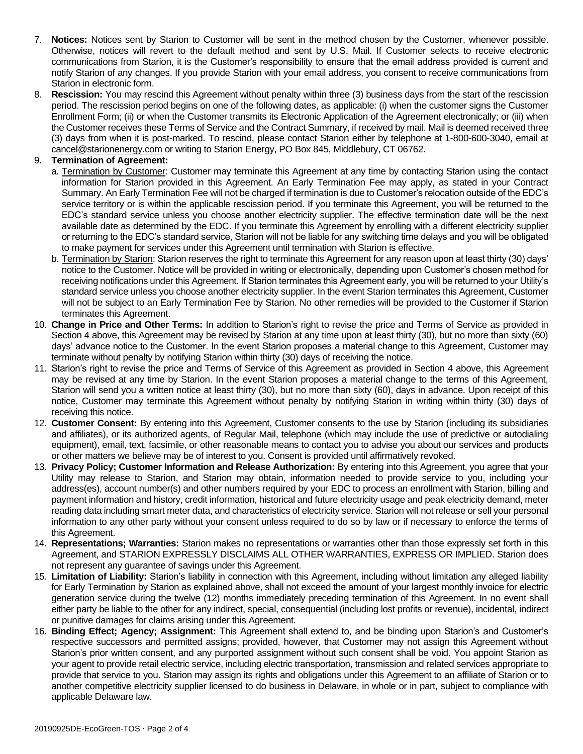- 7. **Notices:** Notices sent by Starion to Customer will be sent in the method chosen by the Customer, whenever possible. Otherwise, notices will revert to the default method and sent by U.S. Mail. If Customer selects to receive electronic communications from Starion, it is the Customer's responsibility to ensure that the email address provided is current and notify Starion of any changes. If you provide Starion with your email address, you consent to receive communications from Starion in electronic form.
- 8. **Rescission:** You may rescind this Agreement without penalty within three (3) business days from the start of the rescission period. The rescission period begins on one of the following dates, as applicable: (i) when the customer signs the Customer Enrollment Form; (ii) or when the Customer transmits its Electronic Application of the Agreement electronically; or (iii) when the Customer receives these Terms of Service and the Contract Summary, if received by mail. Mail is deemed received three (3) days from when it is post-marked. To rescind, please contact Starion either by telephone at 1-800-600-3040, email at cancel@starionenergy.com or writing to Starion Energy, PO Box 845, Middlebury, CT 06762.

## 9. **Termination of Agreement:**

- a. Termination by Customer: Customer may terminate this Agreement at any time by contacting Starion using the contact information for Starion provided in this Agreement. An Early Termination Fee may apply, as stated in your Contract Summary. An Early Termination Fee will not be charged if termination is due to Customer's relocation outside of the EDC's service territory or is within the applicable rescission period. If you terminate this Agreement, you will be returned to the EDC's standard service unless you choose another electricity supplier. The effective termination date will be the next available date as determined by the EDC. If you terminate this Agreement by enrolling with a different electricity supplier or returning to the EDC's standard service, Starion will not be liable for any switching time delays and you will be obligated to make payment for services under this Agreement until termination with Starion is effective.
- b. Termination by Starion: Starion reserves the right to terminate this Agreement for any reason upon at least thirty (30) days' notice to the Customer. Notice will be provided in writing or electronically, depending upon Customer's chosen method for receiving notifications under this Agreement. If Starion terminates this Agreement early, you will be returned to your Utility's standard service unless you choose another electricity supplier. In the event Starion terminates this Agreement, Customer will not be subject to an Early Termination Fee by Starion. No other remedies will be provided to the Customer if Starion terminates this Agreement.
- 10. **Change in Price and Other Terms:** In addition to Starion's right to revise the price and Terms of Service as provided in Section 4 above, this Agreement may be revised by Starion at any time upon at least thirty (30), but no more than sixty (60) days' advance notice to the Customer. In the event Starion proposes a material change to this Agreement, Customer may terminate without penalty by notifying Starion within thirty (30) days of receiving the notice.
- 11. Starion's right to revise the price and Terms of Service of this Agreement as provided in Section 4 above, this Agreement may be revised at any time by Starion. In the event Starion proposes a material change to the terms of this Agreement, Starion will send you a written notice at least thirty (30), but no more than sixty (60), days in advance. Upon receipt of this notice, Customer may terminate this Agreement without penalty by notifying Starion in writing within thirty (30) days of receiving this notice.
- 12. **Customer Consent:** By entering into this Agreement, Customer consents to the use by Starion (including its subsidiaries and affiliates), or its authorized agents, of Regular Mail, telephone (which may include the use of predictive or autodialing equipment), email, text, facsimile, or other reasonable means to contact you to advise you about our services and products or other matters we believe may be of interest to you. Consent is provided until affirmatively revoked.
- 13. **Privacy Policy; Customer Information and Release Authorization:** By entering into this Agreement, you agree that your Utility may release to Starion, and Starion may obtain, information needed to provide service to you, including your address(es), account number(s) and other numbers required by your EDC to process an enrollment with Starion, billing and payment information and history, credit information, historical and future electricity usage and peak electricity demand, meter reading data including smart meter data, and characteristics of electricity service. Starion will not release or sell your personal information to any other party without your consent unless required to do so by law or if necessary to enforce the terms of this Agreement.
- 14. **Representations; Warranties:** Starion makes no representations or warranties other than those expressly set forth in this Agreement, and STARION EXPRESSLY DISCLAIMS ALL OTHER WARRANTIES, EXPRESS OR IMPLIED. Starion does not represent any guarantee of savings under this Agreement.
- 15. **Limitation of Liability:** Starion's liability in connection with this Agreement, including without limitation any alleged liability for Early Termination by Starion as explained above, shall not exceed the amount of your largest monthly invoice for electric generation service during the twelve (12) months immediately preceding termination of this Agreement. In no event shall either party be liable to the other for any indirect, special, consequential (including lost profits or revenue), incidental, indirect or punitive damages for claims arising under this Agreement.
- 16. **Binding Effect; Agency; Assignment:** This Agreement shall extend to, and be binding upon Starion's and Customer's respective successors and permitted assigns; provided, however, that Customer may not assign this Agreement without Starion's prior written consent, and any purported assignment without such consent shall be void. You appoint Starion as your agent to provide retail electric service, including electric transportation, transmission and related services appropriate to provide that service to you. Starion may assign its rights and obligations under this Agreement to an affiliate of Starion or to another competitive electricity supplier licensed to do business in Delaware, in whole or in part, subject to compliance with applicable Delaware law.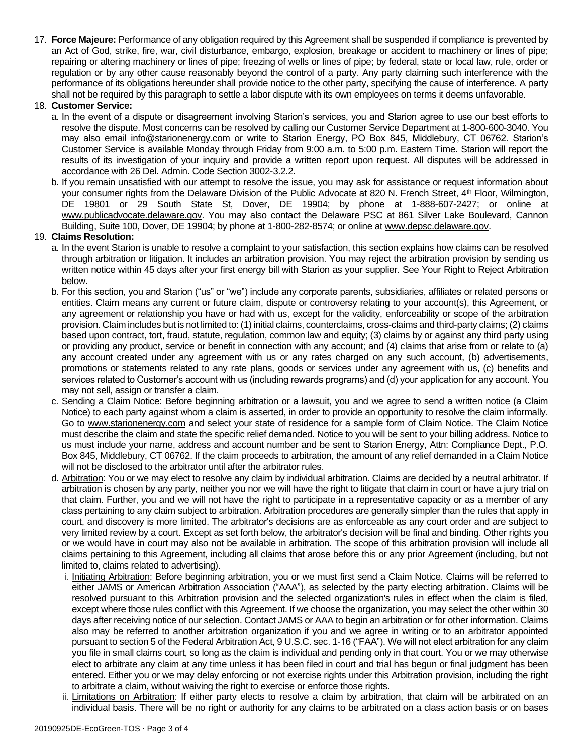17. **Force Majeure:** Performance of any obligation required by this Agreement shall be suspended if compliance is prevented by an Act of God, strike, fire, war, civil disturbance, embargo, explosion, breakage or accident to machinery or lines of pipe; repairing or altering machinery or lines of pipe; freezing of wells or lines of pipe; by federal, state or local law, rule, order or regulation or by any other cause reasonably beyond the control of a party. Any party claiming such interference with the performance of its obligations hereunder shall provide notice to the other party, specifying the cause of interference. A party shall not be required by this paragraph to settle a labor dispute with its own employees on terms it deems unfavorable.

### 18. **Customer Service:**

- a. In the event of a dispute or disagreement involving Starion's services, you and Starion agree to use our best efforts to resolve the dispute. Most concerns can be resolved by calling our Customer Service Department at 1-800-600-3040. You may also email info@starionenergy.com or write to Starion Energy, PO Box 845, Middlebury, CT 06762. Starion's Customer Service is available Monday through Friday from 9:00 a.m. to 5:00 p.m. Eastern Time. Starion will report the results of its investigation of your inquiry and provide a written report upon request. All disputes will be addressed in accordance with 26 Del. Admin. Code Section 3002-3.2.2.
- b. If you remain unsatisfied with our attempt to resolve the issue, you may ask for assistance or request information about your consumer rights from the Delaware Division of the Public Advocate at 820 N. French Street, 4<sup>th</sup> Floor, Wilmington, DE 19801 or 29 South State St, Dover, DE 19904; by phone at 1-888-607-2427; or online at www.publicadvocate.delaware.gov. You may also contact the Delaware PSC at 861 Silver Lake Boulevard, Cannon Building, Suite 100, Dover, DE 19904; by phone at 1-800-282-8574; or online at www.depsc.delaware.gov.

## 19. **Claims Resolution:**

- a. In the event Starion is unable to resolve a complaint to your satisfaction, this section explains how claims can be resolved through arbitration or litigation. It includes an arbitration provision. You may reject the arbitration provision by sending us written notice within 45 days after your first energy bill with Starion as your supplier. See Your Right to Reject Arbitration below.
- b. For this section, you and Starion ("us" or "we") include any corporate parents, subsidiaries, affiliates or related persons or entities. Claim means any current or future claim, dispute or controversy relating to your account(s), this Agreement, or any agreement or relationship you have or had with us, except for the validity, enforceability or scope of the arbitration provision. Claim includes but is not limited to: (1) initial claims, counterclaims, cross-claims and third-party claims; (2) claims based upon contract, tort, fraud, statute, regulation, common law and equity; (3) claims by or against any third party using or providing any product, service or benefit in connection with any account; and (4) claims that arise from or relate to (a) any account created under any agreement with us or any rates charged on any such account, (b) advertisements, promotions or statements related to any rate plans, goods or services under any agreement with us, (c) benefits and services related to Customer's account with us (including rewards programs) and (d) your application for any account. You may not sell, assign or transfer a claim.
- c. Sending a Claim Notice: Before beginning arbitration or a lawsuit, you and we agree to send a written notice (a Claim Notice) to each party against whom a claim is asserted, in order to provide an opportunity to resolve the claim informally. Go to www.starionenergy.com and select your state of residence for a sample form of Claim Notice. The Claim Notice must describe the claim and state the specific relief demanded. Notice to you will be sent to your billing address. Notice to us must include your name, address and account number and be sent to Starion Energy, Attn: Compliance Dept., P.O. Box 845, Middlebury, CT 06762. If the claim proceeds to arbitration, the amount of any relief demanded in a Claim Notice will not be disclosed to the arbitrator until after the arbitrator rules.
- d. Arbitration: You or we may elect to resolve any claim by individual arbitration. Claims are decided by a neutral arbitrator. If arbitration is chosen by any party, neither you nor we will have the right to litigate that claim in court or have a jury trial on that claim. Further, you and we will not have the right to participate in a representative capacity or as a member of any class pertaining to any claim subject to arbitration. Arbitration procedures are generally simpler than the rules that apply in court, and discovery is more limited. The arbitrator's decisions are as enforceable as any court order and are subject to very limited review by a court. Except as set forth below, the arbitrator's decision will be final and binding. Other rights you or we would have in court may also not be available in arbitration. The scope of this arbitration provision will include all claims pertaining to this Agreement, including all claims that arose before this or any prior Agreement (including, but not limited to, claims related to advertising).
	- i. Initiating Arbitration: Before beginning arbitration, you or we must first send a Claim Notice. Claims will be referred to either JAMS or American Arbitration Association ("AAA"), as selected by the party electing arbitration. Claims will be resolved pursuant to this Arbitration provision and the selected organization's rules in effect when the claim is filed, except where those rules conflict with this Agreement. If we choose the organization, you may select the other within 30 days after receiving notice of our selection. Contact JAMS or AAA to begin an arbitration or for other information. Claims also may be referred to another arbitration organization if you and we agree in writing or to an arbitrator appointed pursuant to section 5 of the Federal Arbitration Act, 9 U.S.C. sec. 1-16 ("FAA"). We will not elect arbitration for any claim you file in small claims court, so long as the claim is individual and pending only in that court. You or we may otherwise elect to arbitrate any claim at any time unless it has been filed in court and trial has begun or final judgment has been entered. Either you or we may delay enforcing or not exercise rights under this Arbitration provision, including the right to arbitrate a claim, without waiving the right to exercise or enforce those rights.
	- ii. Limitations on Arbitration: If either party elects to resolve a claim by arbitration, that claim will be arbitrated on an individual basis. There will be no right or authority for any claims to be arbitrated on a class action basis or on bases